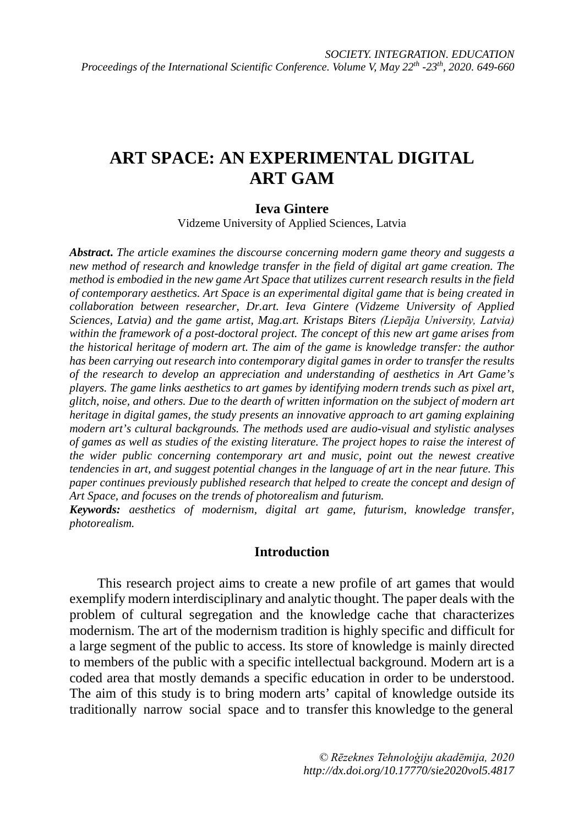# **ART SPACE: AN EXPERIMENTAL DIGITAL ART GAM**

#### **Ieva Gintere**

Vidzeme University of Applied Sciences, Latvia

*Abstract***.** *The article examines the discourse concerning modern game theory and suggests a new method of research and knowledge transfer in the field of digital art game creation. The method is embodied in the new game Art Space that utilizes current research results in the field of contemporary aesthetics. Art Space is an experimental digital game that is being created in collaboration between researcher, Dr.art. Ieva Gintere (Vidzeme University of Applied Sciences, Latvia) and the game artist, Mag.art. Kristaps Biters (Liepāja University, Latvia) within the framework of a post-doctoral project. The concept of this new art game arises from the historical heritage of modern art. The aim of the game is knowledge transfer: the author has been carrying out research into contemporary digital games in order to transfer the results of the research to develop an appreciation and understanding of aesthetics in Art Game's players. The game links aesthetics to art games by identifying modern trends such as pixel art, glitch, noise, and others. Due to the dearth of written information on the subject of modern art heritage in digital games, the study presents an innovative approach to art gaming explaining modern art's cultural backgrounds. The methods used are audio-visual and stylistic analyses of games as well as studies of the existing literature. The project hopes to raise the interest of the wider public concerning contemporary art and music, point out the newest creative tendencies in art, and suggest potential changes in the language of art in the near future. This paper continues previously published research that helped to create the concept and design of Art Space, and focuses on the trends of photorealism and futurism.*

*Keywords: aesthetics of modernism, digital art game, futurism, knowledge transfer, photorealism.*

#### **Introduction**

This research project aims to create a new profile of art games that would exemplify modern interdisciplinary and analytic thought. The paper deals with the problem of cultural segregation and the knowledge cache that characterizes modernism. The art of the modernism tradition is highly specific and difficult for a large segment of the public to access. Its store of knowledge is mainly directed to members of the public with a specific intellectual background. Modern art is a coded area that mostly demands a specific education in order to be understood. The aim of this study is to bring modern arts' capital of knowledge outside its traditionally narrow social space and to transfer this knowledge to the general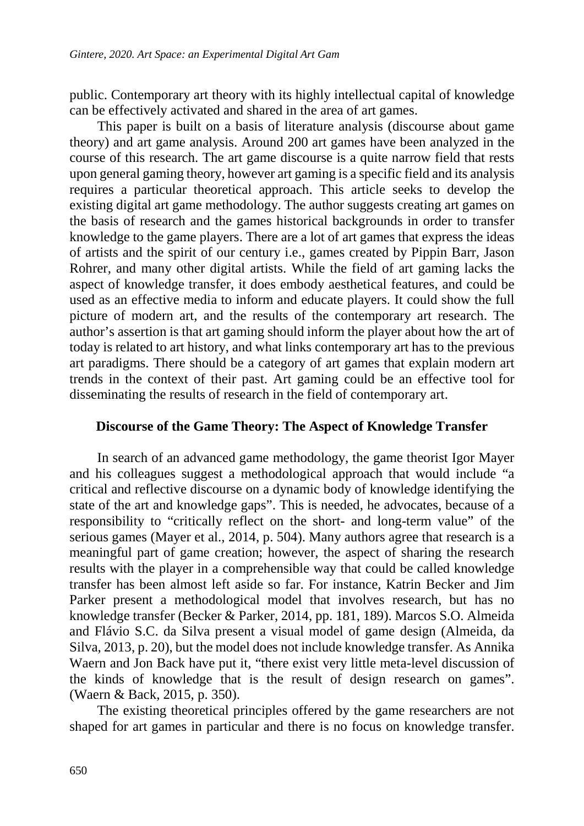public. Contemporary art theory with its highly intellectual capital of knowledge can be effectively activated and shared in the area of art games.

This paper is built on a basis of literature analysis (discourse about game theory) and art game analysis. Around 200 art games have been analyzed in the course of this research. The art game discourse is a quite narrow field that rests upon general gaming theory, however art gaming is a specific field and its analysis requires a particular theoretical approach. This article seeks to develop the existing digital art game methodology. The author suggests creating art games on the basis of research and the games historical backgrounds in order to transfer knowledge to the game players. There are a lot of art games that express the ideas of artists and the spirit of our century i.e., games created by Pippin Barr, Jason Rohrer, and many other digital artists. While the field of art gaming lacks the aspect of knowledge transfer, it does embody aesthetical features, and could be used as an effective media to inform and educate players. It could show the full picture of modern art, and the results of the contemporary art research. The author's assertion is that art gaming should inform the player about how the art of today is related to art history, and what links contemporary art has to the previous art paradigms. There should be a category of art games that explain modern art trends in the context of their past. Art gaming could be an effective tool for disseminating the results of research in the field of contemporary art.

#### **Discourse of the Game Theory: The Aspect of Knowledge Transfer**

In search of an advanced game methodology, the game theorist Igor Mayer and his colleagues suggest a methodological approach that would include "a critical and reflective discourse on a dynamic body of knowledge identifying the state of the art and knowledge gaps". This is needed, he advocates, because of a responsibility to "critically reflect on the short- and long-term value" of the serious games (Mayer et al., 2014, p. 504). Many authors agree that research is a meaningful part of game creation; however, the aspect of sharing the research results with the player in a comprehensible way that could be called knowledge transfer has been almost left aside so far. For instance, Katrin Becker and Jim Parker present a methodological model that involves research, but has no knowledge transfer (Becker & Parker, 2014, pp. 181, 189). Marcos S.O. Almeida and Flávio S.C. da Silva present a visual model of game design (Almeida, da Silva, 2013, p. 20), but the model does not include knowledge transfer. As Annika Waern and Jon Back have put it, "there exist very little meta-level discussion of the kinds of knowledge that is the result of design research on games". (Waern & Back, 2015, p. 350).

The existing theoretical principles offered by the game researchers are not shaped for art games in particular and there is no focus on knowledge transfer.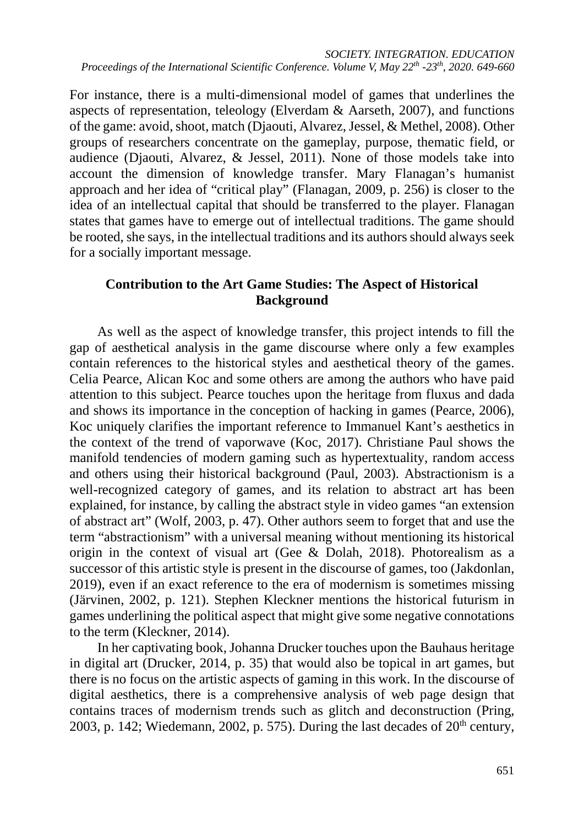For instance, there is a multi-dimensional model of games that underlines the aspects of representation, teleology (Elverdam & Aarseth, 2007), and functions of the game: avoid, shoot, match (Djaouti, Alvarez, Jessel, & Methel, 2008). Other groups of researchers concentrate on the gameplay, purpose, thematic field, or audience (Djaouti, Alvarez, & Jessel, 2011). None of those models take into account the dimension of knowledge transfer. Mary Flanagan's humanist approach and her idea of "critical play" (Flanagan, 2009, p. 256) is closer to the idea of an intellectual capital that should be transferred to the player. Flanagan states that games have to emerge out of intellectual traditions. The game should be rooted, she says, in the intellectual traditions and its authors should always seek for a socially important message.

#### **Contribution to the Art Game Studies: The Aspect of Historical Background**

As well as the aspect of knowledge transfer, this project intends to fill the gap of aesthetical analysis in the game discourse where only a few examples contain references to the historical styles and aesthetical theory of the games. Celia Pearce, Alican Koc and some others are among the authors who have paid attention to this subject. Pearce touches upon the heritage from fluxus and dada and shows its importance in the conception of hacking in games (Pearce, 2006), Koc uniquely clarifies the important reference to Immanuel Kant's aesthetics in the context of the trend of vaporwave (Koc, 2017). Christiane Paul shows the manifold tendencies of modern gaming such as hypertextuality, random access and others using their historical background (Paul, 2003). Abstractionism is a well-recognized category of games, and its relation to abstract art has been explained, for instance, by calling the abstract style in video games "an extension of abstract art" (Wolf, 2003, p. 47). Other authors seem to forget that and use the term "abstractionism" with a universal meaning without mentioning its historical origin in the context of visual art (Gee & Dolah, 2018). Photorealism as a successor of this artistic style is present in the discourse of games, too (Jakdonlan, 2019), even if an exact reference to the era of modernism is sometimes missing (Järvinen, 2002, p. 121). Stephen Kleckner mentions the historical futurism in games underlining the political aspect that might give some negative connotations to the term (Kleckner, 2014).

In her captivating book, Johanna Drucker touches upon the Bauhaus heritage in digital art (Drucker, 2014, p. 35) that would also be topical in art games, but there is no focus on the artistic aspects of gaming in this work. In the discourse of digital aesthetics, there is a comprehensive analysis of web page design that contains traces of modernism trends such as glitch and deconstruction (Pring, 2003, p. 142; Wiedemann, 2002, p. 575). During the last decades of  $20<sup>th</sup>$  century,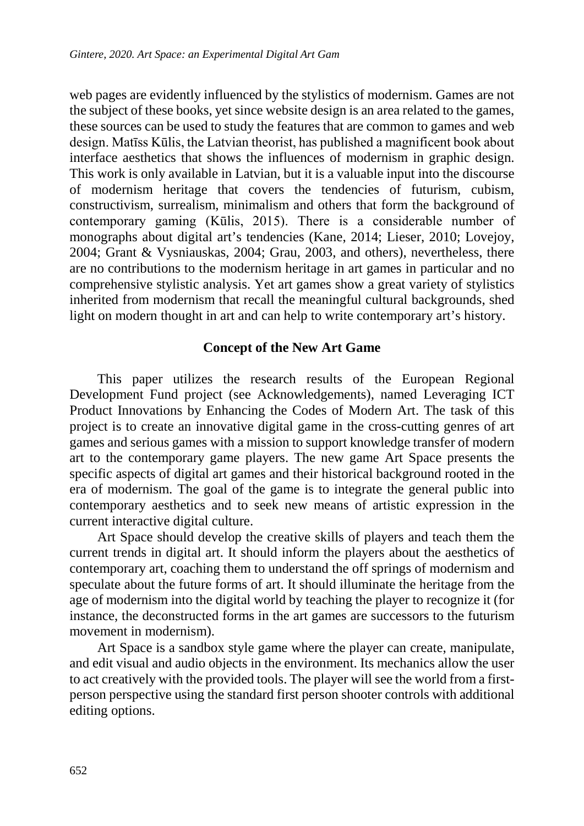web pages are evidently influenced by the stylistics of modernism. Games are not the subject of these books, yet since website design is an area related to the games, these sources can be used to study the features that are common to games and web design. Matīss Kūlis, the Latvian theorist, has published a magnificent book about interface aesthetics that shows the influences of modernism in graphic design. This work is only available in Latvian, but it is a valuable input into the discourse of modernism heritage that covers the tendencies of futurism, cubism, constructivism, surrealism, minimalism and others that form the background of contemporary gaming (Kūlis, 2015). There is a considerable number of monographs about digital art's tendencies (Kane, 2014; Lieser, 2010; Lovejoy, 2004; Grant & Vysniauskas, 2004; Grau, 2003, and others), nevertheless, there are no contributions to the modernism heritage in art games in particular and no comprehensive stylistic analysis. Yet art games show a great variety of stylistics inherited from modernism that recall the meaningful cultural backgrounds, shed light on modern thought in art and can help to write contemporary art's history.

### **Concept of the New Art Game**

This paper utilizes the research results of the European Regional Development Fund project (see Acknowledgements), named Leveraging ICT Product Innovations by Enhancing the Codes of Modern Art. The task of this project is to create an innovative digital game in the cross-cutting genres of art games and serious games with a mission to support knowledge transfer of modern art to the contemporary game players. The new game Art Space presents the specific aspects of digital art games and their historical background rooted in the era of modernism. The goal of the game is to integrate the general public into contemporary aesthetics and to seek new means of artistic expression in the current interactive digital culture.

Art Space should develop the creative skills of players and teach them the current trends in digital art. It should inform the players about the aesthetics of contemporary art, coaching them to understand the off springs of modernism and speculate about the future forms of art. It should illuminate the heritage from the age of modernism into the digital world by teaching the player to recognize it (for instance, the deconstructed forms in the art games are successors to the futurism movement in modernism).

Art Space is a sandbox style game where the player can create, manipulate, and edit visual and audio objects in the environment. Its mechanics allow the user to act creatively with the provided tools. The player will see the world from a firstperson perspective using the standard first person shooter controls with additional editing options.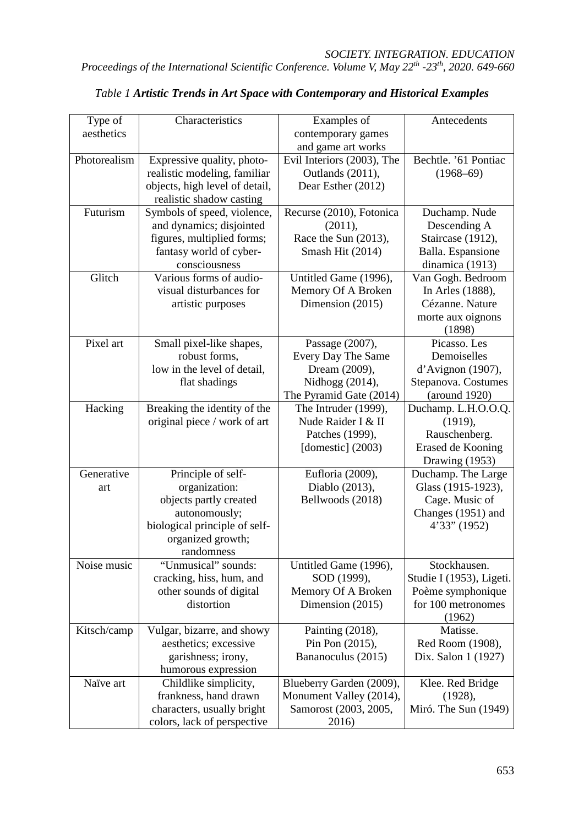| Type of      | Characteristics                | Examples of                | Antecedents              |
|--------------|--------------------------------|----------------------------|--------------------------|
| aesthetics   |                                | contemporary games         |                          |
|              |                                | and game art works         |                          |
| Photorealism | Expressive quality, photo-     | Evil Interiors (2003), The | Bechtle. '61 Pontiac     |
|              | realistic modeling, familiar   | Outlands (2011),           | $(1968 - 69)$            |
|              | objects, high level of detail, | Dear Esther (2012)         |                          |
|              | realistic shadow casting       |                            |                          |
| Futurism     | Symbols of speed, violence,    | Recurse (2010), Fotonica   | Duchamp. Nude            |
|              | and dynamics; disjointed       | (2011),                    | Descending A             |
|              | figures, multiplied forms;     | Race the Sun (2013),       | Staircase (1912),        |
|              | fantasy world of cyber-        | Smash Hit (2014)           | Balla. Espansione        |
|              | consciousness                  |                            | dinamica (1913)          |
| Glitch       | Various forms of audio-        | Untitled Game (1996),      | Van Gogh. Bedroom        |
|              | visual disturbances for        | Memory Of A Broken         | In Arles (1888),         |
|              | artistic purposes              | Dimension (2015)           | Cézanne. Nature          |
|              |                                |                            | morte aux oignons        |
|              |                                |                            | (1898)                   |
| Pixel art    | Small pixel-like shapes,       | Passage (2007),            | Picasso. Les             |
|              | robust forms,                  | Every Day The Same         | Demoiselles              |
|              | low in the level of detail,    | Dream (2009),              | d'Avignon (1907),        |
|              | flat shadings                  | Nidhogg (2014),            | Stepanova. Costumes      |
|              |                                | The Pyramid Gate (2014)    | (around 1920)            |
| Hacking      | Breaking the identity of the   | The Intruder (1999),       | Duchamp. L.H.O.O.Q.      |
|              | original piece / work of art   | Nude Raider I & II         | (1919),                  |
|              |                                | Patches (1999),            | Rauschenberg.            |
|              |                                | [domestic] $(2003)$        | Erased de Kooning        |
|              |                                |                            | Drawing (1953)           |
| Generative   | Principle of self-             | Eufloria (2009),           | Duchamp. The Large       |
| art          | organization:                  | Diablo (2013),             | Glass (1915-1923),       |
|              | objects partly created         | Bellwoods (2018)           | Cage. Music of           |
|              | autonomously;                  |                            | Changes (1951) and       |
|              | biological principle of self-  |                            | $4'33''$ (1952)          |
|              | organized growth;              |                            |                          |
|              | randomness                     |                            |                          |
| Noise music  | "Unmusical" sounds:            | Untitled Game (1996),      | Stockhausen.             |
|              | cracking, hiss, hum, and       | SOD (1999),                | Studie I (1953), Ligeti. |
|              | other sounds of digital        | Memory Of A Broken         | Poème symphonique        |
|              | distortion                     | Dimension (2015)           | for 100 metronomes       |
|              |                                |                            | (1962)                   |
| Kitsch/camp  | Vulgar, bizarre, and showy     | Painting (2018),           | Matisse.                 |
|              | aesthetics; excessive          | Pin Pon (2015),            | Red Room (1908),         |
|              | garishness; irony,             | Bananoculus (2015)         | Dix. Salon 1 (1927)      |
|              | humorous expression            |                            |                          |
| Naïve art    | Childlike simplicity,          | Blueberry Garden (2009),   | Klee. Red Bridge         |
|              | frankness, hand drawn          | Monument Valley (2014),    | (1928),                  |
|              | characters, usually bright     | Samorost (2003, 2005,      | Miró. The Sun (1949)     |
|              | colors, lack of perspective    | 2016)                      |                          |

#### *Table 1 Artistic Trends in Art Space with Contemporary and Historical Examples*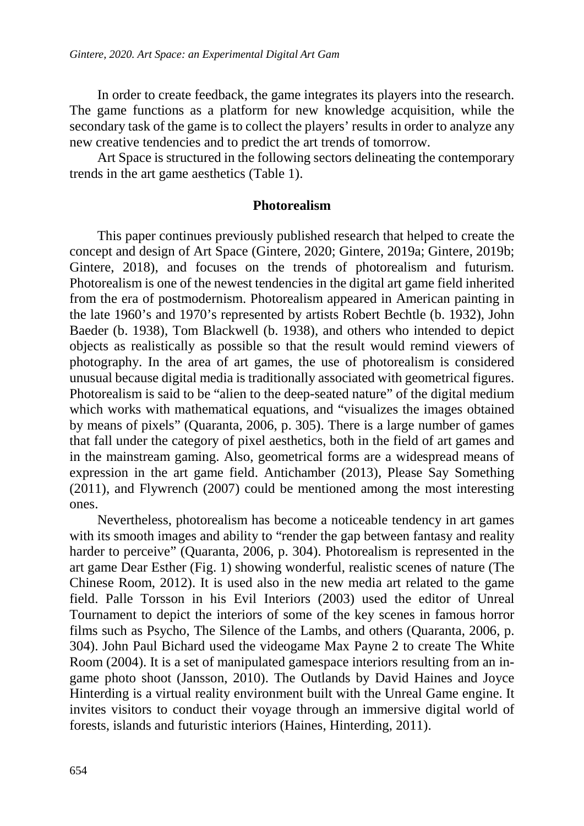In order to create feedback, the game integrates its players into the research. The game functions as a platform for new knowledge acquisition, while the secondary task of the game is to collect the players' results in order to analyze any new creative tendencies and to predict the art trends of tomorrow.

Art Space is structured in the following sectors delineating the contemporary trends in the art game aesthetics (Table 1).

#### **Photorealism**

This paper continues previously published research that helped to create the concept and design of Art Space (Gintere, 2020; Gintere, 2019a; Gintere, 2019b; Gintere, 2018), and focuses on the trends of photorealism and futurism. Photorealism is one of the newest tendencies in the digital art game field inherited from the era of postmodernism. Photorealism appeared in American painting in the late 1960's and 1970's represented by artists Robert Bechtle (b. 1932), John Baeder (b. 1938), Tom Blackwell (b. 1938), and others who intended to depict objects as realistically as possible so that the result would remind viewers of photography. In the area of art games, the use of photorealism is considered unusual because digital media is traditionally associated with geometrical figures. Photorealism is said to be "alien to the deep-seated nature" of the digital medium which works with mathematical equations, and "visualizes the images obtained by means of pixels" (Quaranta, 2006, p. 305). There is a large number of games that fall under the category of pixel aesthetics, both in the field of art games and in the mainstream gaming. Also, geometrical forms are a widespread means of expression in the art game field. Antichamber (2013), Please Say Something (2011), and Flywrench (2007) could be mentioned among the most interesting ones.

Nevertheless, photorealism has become a noticeable tendency in art games with its smooth images and ability to "render the gap between fantasy and reality harder to perceive" (Quaranta, 2006, p. 304). Photorealism is represented in the art game Dear Esther (Fig. 1) showing wonderful, realistic scenes of nature (The Chinese Room, 2012). It is used also in the new media art related to the game field. Palle Torsson in his Evil Interiors (2003) used the editor of Unreal Tournament to depict the interiors of some of the key scenes in famous horror films such as Psycho, The Silence of the Lambs, and others (Quaranta, 2006, p. 304). John Paul Bichard used the videogame Max Payne 2 to create The White Room (2004). It is a set of manipulated gamespace interiors resulting from an ingame photo shoot (Jansson, 2010). The Outlands by David Haines and Joyce Hinterding is a virtual reality environment built with the Unreal Game engine. It invites visitors to conduct their voyage through an immersive digital world of forests, islands and futuristic interiors (Haines, Hinterding, 2011).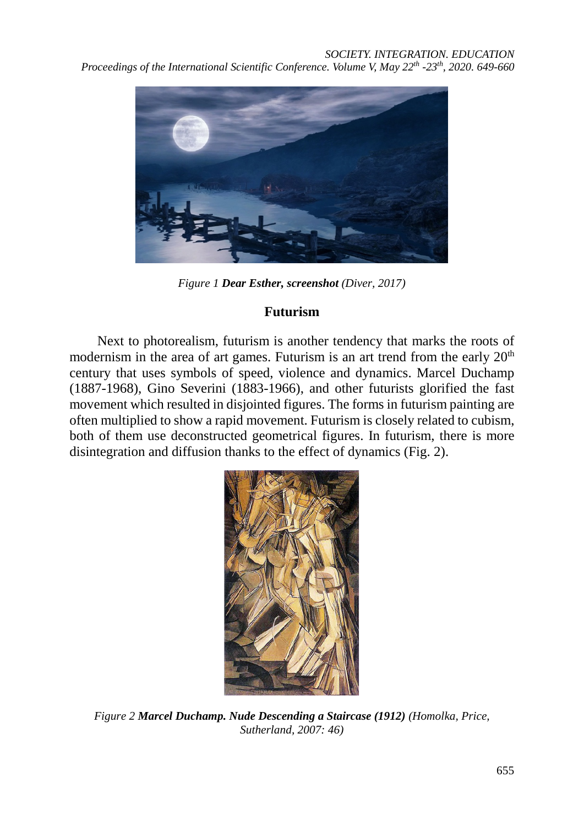

*Figure 1 Dear Esther, screenshot (Diver, 2017)*

## **Futurism**

Next to photorealism, futurism is another tendency that marks the roots of modernism in the area of art games. Futurism is an art trend from the early  $20<sup>th</sup>$ century that uses symbols of speed, violence and dynamics. Marcel Duchamp (1887-1968), Gino Severini (1883-1966), and other futurists glorified the fast movement which resulted in disjointed figures. The forms in futurism painting are often multiplied to show a rapid movement. Futurism is closely related to cubism, both of them use deconstructed geometrical figures. In futurism, there is more disintegration and diffusion thanks to the effect of dynamics (Fig. 2).



*Figure 2 Marcel Duchamp. Nude Descending a Staircase (1912) (Homolka, Price, Sutherland, 2007: 46)*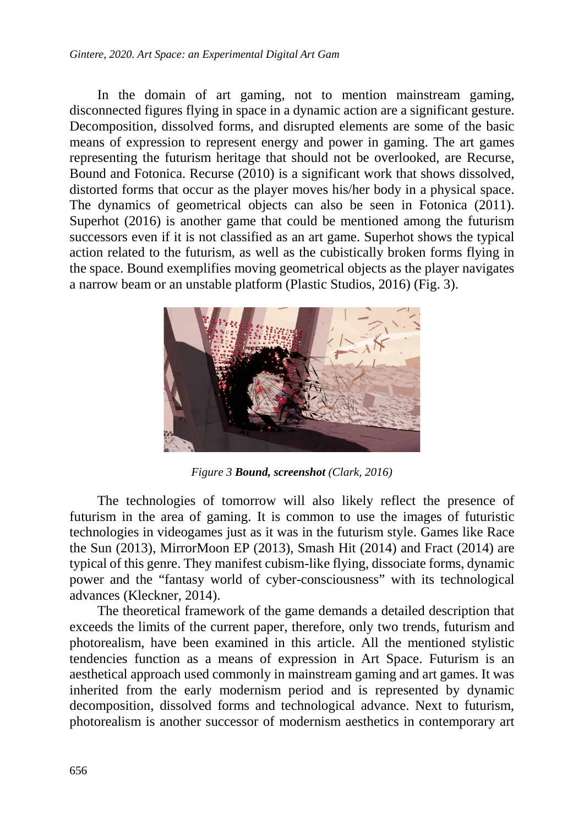In the domain of art gaming, not to mention mainstream gaming, disconnected figures flying in space in a dynamic action are a significant gesture. Decomposition, dissolved forms, and disrupted elements are some of the basic means of expression to represent energy and power in gaming. The art games representing the futurism heritage that should not be overlooked, are Recurse, Bound and Fotonica. Recurse (2010) is a significant work that shows dissolved, distorted forms that occur as the player moves his/her body in a physical space. The dynamics of geometrical objects can also be seen in Fotonica (2011). Superhot (2016) is another game that could be mentioned among the futurism successors even if it is not classified as an art game. Superhot shows the typical action related to the futurism, as well as the cubistically broken forms flying in the space. Bound exemplifies moving geometrical objects as the player navigates a narrow beam or an unstable platform (Plastic Studios, 2016) (Fig. 3).



*Figure 3 Bound, screenshot (Clark, 2016)*

The technologies of tomorrow will also likely reflect the presence of futurism in the area of gaming. It is common to use the images of futuristic technologies in videogames just as it was in the futurism style. Games like Race the Sun (2013), MirrorMoon EP (2013), Smash Hit (2014) and Fract (2014) are typical of this genre. They manifest cubism-like flying, dissociate forms, dynamic power and the "fantasy world of cyber-consciousness" with its technological advances (Kleckner, 2014).

The theoretical framework of the game demands a detailed description that exceeds the limits of the current paper, therefore, only two trends, futurism and photorealism, have been examined in this article. All the mentioned stylistic tendencies function as a means of expression in Art Space. Futurism is an aesthetical approach used commonly in mainstream gaming and art games. It was inherited from the early modernism period and is represented by dynamic decomposition, dissolved forms and technological advance. Next to futurism, photorealism is another successor of modernism aesthetics in contemporary art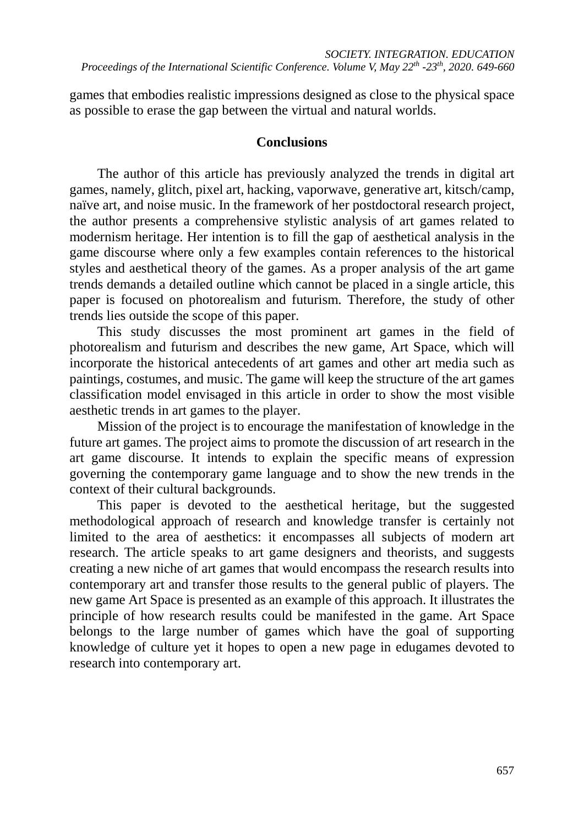games that embodies realistic impressions designed as close to the physical space as possible to erase the gap between the virtual and natural worlds.

#### **Conclusions**

The author of this article has previously analyzed the trends in digital art games, namely, glitch, pixel art, hacking, vaporwave, generative art, kitsch/camp, naïve art, and noise music. In the framework of her postdoctoral research project, the author presents a comprehensive stylistic analysis of art games related to modernism heritage. Her intention is to fill the gap of aesthetical analysis in the game discourse where only a few examples contain references to the historical styles and aesthetical theory of the games. As a proper analysis of the art game trends demands a detailed outline which cannot be placed in a single article, this paper is focused on photorealism and futurism. Therefore, the study of other trends lies outside the scope of this paper.

This study discusses the most prominent art games in the field of photorealism and futurism and describes the new game, Art Space, which will incorporate the historical antecedents of art games and other art media such as paintings, costumes, and music. The game will keep the structure of the art games classification model envisaged in this article in order to show the most visible aesthetic trends in art games to the player.

Mission of the project is to encourage the manifestation of knowledge in the future art games. The project aims to promote the discussion of art research in the art game discourse. It intends to explain the specific means of expression governing the contemporary game language and to show the new trends in the context of their cultural backgrounds.

This paper is devoted to the aesthetical heritage, but the suggested methodological approach of research and knowledge transfer is certainly not limited to the area of aesthetics: it encompasses all subjects of modern art research. The article speaks to art game designers and theorists, and suggests creating a new niche of art games that would encompass the research results into contemporary art and transfer those results to the general public of players. The new game Art Space is presented as an example of this approach. It illustrates the principle of how research results could be manifested in the game. Art Space belongs to the large number of games which have the goal of supporting knowledge of culture yet it hopes to open a new page in edugames devoted to research into contemporary art.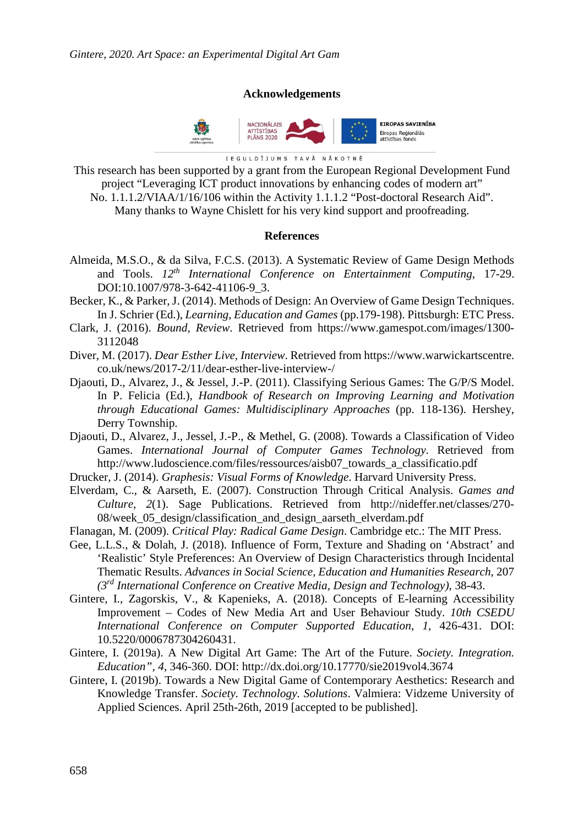#### **Acknowledgements**



IEGULDĪJUMS TAVĀ NĀKOTNĒ

This research has been supported by a grant from the European Regional Development Fund project "Leveraging ICT product innovations by enhancing codes of modern art" No. 1.1.1.2/VIAA/1/16/106 within the Activity 1.1.1.2 "Post-doctoral Research Aid". Many thanks to Wayne Chislett for his very kind support and proofreading.

#### **References**

- Almeida, M.S.O., & da Silva, F.C.S. (2013). A Systematic Review of Game Design Methods and Tools. *12th International Conference on Entertainment Computing*, 17-29. DOI:10.1007/978-3-642-41106-9\_3.
- Becker, K., & Parker, J. (2014). Methods of Design: An Overview of Game Design Techniques. In J. Schrier (Ed.), *Learning, Education and Games* (pp.179-198). Pittsburgh: ETC Press.
- Clark, J. (2016). *Bound, Review*. Retrieved from [https://www.gamespot.com/images/1300-](https://www.gamespot.com/images/1300-3112048) [3112048](https://www.gamespot.com/images/1300-3112048)
- Diver, M. (2017). *Dear Esther Live, Interview*. Retrieved from [https://www.warwickartscentre.](https://www.warwickartscentre.co.uk/news/2017-2/11/dear-esther-live-interview-/) [co.uk/news/2017-2/11/dear-esther-live-interview-/](https://www.warwickartscentre.co.uk/news/2017-2/11/dear-esther-live-interview-/)
- Djaouti, D., Alvarez, J., & Jessel, J.-P. (2011). Classifying Serious Games: The G/P/S Model. In P. Felicia (Ed.), *Handbook of Research on Improving Learning and Motivation through Educational Games: Multidisciplinary Approaches* (pp. 118-136). Hershey, Derry Township.
- Djaouti, D., Alvarez, J., Jessel, J.-P., & Methel, G. (2008). Towards a Classification of Video Games. *International Journal of Computer Games Technology*. Retrieved from [http://www.ludoscience.com/files/ressources/aisb07\\_towards\\_a\\_classificatio.pdf](http://www.ludoscience.com/files/ressources/aisb07_towards_a_classificatio.pdf)
- Drucker, J. (2014). *Graphesis: Visual Forms of Knowledge*. Harvard University Press.
- Elverdam, C., & Aarseth, E. (2007). Construction Through Critical Analysis. *Games and Culture*, *2*(1). Sage Publications. Retrieved from [http://nideffer.net/classes/270-](http://nideffer.net/classes/270-08/week_05_design/classification_and_design_aarseth_elverdam.pdf) [08/week\\_05\\_design/classification\\_and\\_design\\_aarseth\\_elverdam.pdf](http://nideffer.net/classes/270-08/week_05_design/classification_and_design_aarseth_elverdam.pdf)
- Flanagan, M. (2009). *Critical Play: Radical Game Design*. Cambridge etc.: The MIT Press.
- Gee, L.L.S., & Dolah, J. (2018). Influence of Form, Texture and Shading on 'Abstract' and 'Realistic' Style Preferences: An Overview of Design Characteristics through Incidental Thematic Results. *Advances in Social Science, Education and Humanities Research*, 207 *(3rd International Conference on Creative Media, Design and Technology)*, 38-43.
- Gintere, I., Zagorskis, V., & Kapenieks, A. (2018). Concepts of E-learning Accessibility Improvement – Codes of New Media Art and User Behaviour Study. *10th CSEDU International Conference on Computer Supported Education*, *1,* 426-431. DOI: 10.5220/0006787304260431.
- Gintere, I. (2019a). A New Digital Art Game: The Art of the Future. *Society. Integration. Education", 4*, 346-360. DOI:<http://dx.doi.org/10.17770/sie2019vol4.3674>
- Gintere, I. (2019b). Towards a New Digital Game of Contemporary Aesthetics: Research and Knowledge Transfer. *Society. Technology. Solutions*. Valmiera: Vidzeme University of Applied Sciences. April 25th-26th, 2019 [accepted to be published].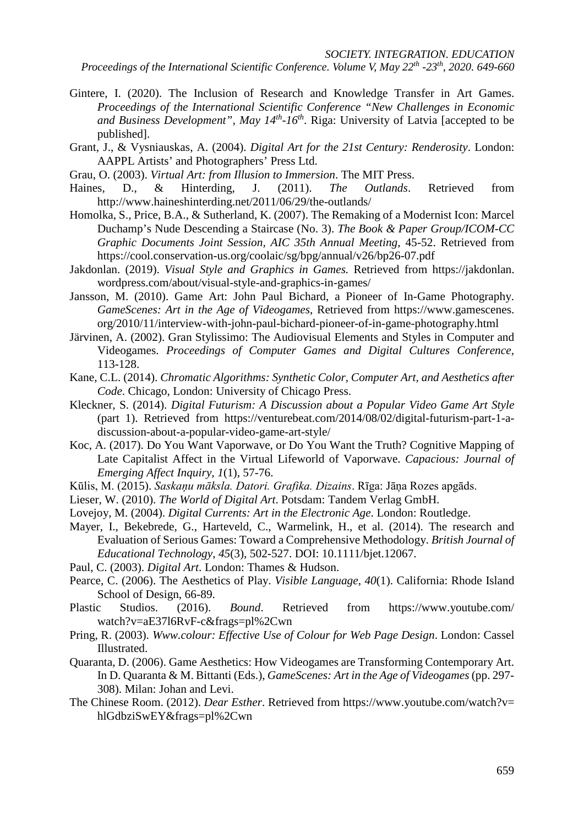*SOCIETY. INTEGRATION. EDUCATION*

*Proceedings of the International Scientific Conference. Volume V, May 22th -23th, 2020. 649-660*

- Gintere, I. (2020). The Inclusion of Research and Knowledge Transfer in Art Games. *Proceedings of the International Scientific Conference "New Challenges in Economic and Business Development", May 14th-16th*. Riga: University of Latvia [accepted to be published].
- Grant, J., & Vysniauskas, A. (2004). *Digital Art for the 21st Century: Renderosity*. London: AAPPL Artists' and Photographers' Press Ltd.
- Grau, O. (2003). *Virtual Art: from Illusion to Immersion*. The MIT Press.
- Haines, D., & Hinterding, J. (2011). *The Outlands*. Retrieved from <http://www.haineshinterding.net/2011/06/29/the-outlands/>
- Homolka, S., Price, B.A., & Sutherland, K. (2007). The Remaking of a Modernist Icon: Marcel Duchamp's Nude Descending a Staircase (No. 3). *The Book & Paper Group/ICOM-CC Graphic Documents Joint Session, AIC 35th Annual Meeting*, 45-52. Retrieved from <https://cool.conservation-us.org/coolaic/sg/bpg/annual/v26/bp26-07.pdf>
- Jakdonlan. (2019). *Visual Style and Graphics in Games.* Retrieved from [https://jakdonlan.](https://jakdonlan.wordpress.com/about/visual-style-and-graphics-in-games/) [wordpress.com/about/visual-style-and-graphics-in-games/](https://jakdonlan.wordpress.com/about/visual-style-and-graphics-in-games/)
- Jansson, M. (2010). Game Art: John Paul Bichard, a Pioneer of In-Game Photography. *GameScenes: Art in the Age of Videogames*, Retrieved from [https://www.gamescenes.](https://www.gamescenes.org/2010/11/interview-with-john-paul-bichard-pioneer-of-in-game-photography.html) [org/2010/11/interview-with-john-paul-bichard-pioneer-of-in-game-photography.html](https://www.gamescenes.org/2010/11/interview-with-john-paul-bichard-pioneer-of-in-game-photography.html)
- Järvinen, A. (2002). Gran Stylissimo: The Audiovisual Elements and Styles in Computer and Videogames. *Proceedings of Computer Games and Digital Cultures Conference,*  113-128.
- Kane, C.L. (2014). *Chromatic Algorithms: Synthetic Color, Computer Art, and Aesthetics after Code*. Chicago, London: University of Chicago Press.
- Kleckner, S. (2014). *Digital Futurism: A Discussion about a Popular Video Game Art Style*  (part 1). Retrieved from [https://venturebeat.com/2014/08/02/digital-futurism-part-1-a](https://venturebeat.com/2014/08/02/digital-futurism-part-1-a-discussion-about-a-popular-video-game-art-style/)[discussion-about-a-popular-video-game-art-style/](https://venturebeat.com/2014/08/02/digital-futurism-part-1-a-discussion-about-a-popular-video-game-art-style/)
- Koc, A. (2017). Do You Want Vaporwave, or Do You Want the Truth? Cognitive Mapping of Late Capitalist Affect in the Virtual Lifeworld of Vaporwave. *Capacious: Journal of Emerging Affect Inquiry, 1*(1), 57-76.
- Kūlis, M. (2015). *Saskaņu māksla. Datori. Grafika. Dizains*. Rīga: Jāņa Rozes apgāds.
- Lieser, W. (2010). *The World of Digital Art*. Potsdam: Tandem Verlag GmbH.
- Lovejoy, M. (2004). *Digital Currents: Art in the Electronic Age*. London: Routledge.
- Mayer, I., Bekebrede, G., Harteveld, C., Warmelink, H., et al. (2014). The research and Evaluation of Serious Games: Toward a Comprehensive Methodology. *British Journal of Educational Technology*, *45*(3), 502-527. DOI: 10.1111/bjet.12067.
- Paul, C. (2003). *Digital Art*. London: Thames & Hudson.
- Pearce, C. (2006). The Aesthetics of Play. *Visible Language*, *40*(1). California: Rhode Island School of Design, 66-89.
- Plastic Studios. (2016). *Bound*. Retrieved from [https://www.youtube.com/](https://www.youtube.com/watch?v=aE37l6RvF-c&frags=pl%2Cwn) [watch?v=aE37l6RvF-c&frags=pl%2Cwn](https://www.youtube.com/watch?v=aE37l6RvF-c&frags=pl%2Cwn)
- Pring, R. (2003). *Www.colour: Effective Use of Colour for Web Page Design*. London: Cassel Illustrated.
- Quaranta, D. (2006). Game Aesthetics: How Videogames are Transforming Contemporary Art. In D. Quaranta & M. Bittanti (Eds.), *GameScenes: Art in the Age of Videogames* (pp. 297- 308). Milan: Johan and Levi.
- The Chinese Room. (2012). *Dear Esther*. Retrieved from [https://www.youtube.com/watch?v=](https://www.youtube.com/watch?v=hlGdbziSwEY&frags=pl%2Cwn) [hlGdbziSwEY&frags=pl%2Cwn](https://www.youtube.com/watch?v=hlGdbziSwEY&frags=pl%2Cwn)